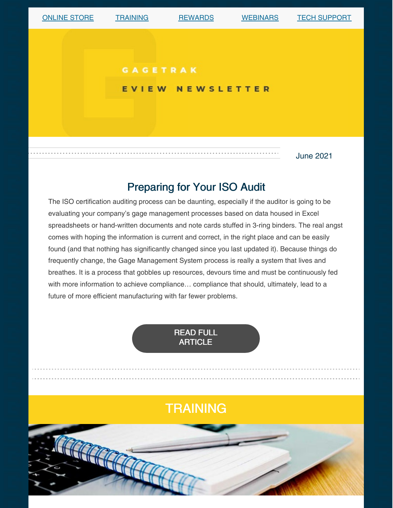

## Preparing for Your ISO Audit

The ISO certification auditing process can be daunting, especially if the auditor is going to be evaluating your company's gage management processes based on data housed in Excel spreadsheets or hand-written documents and note cards stuffed in 3-ring binders. The real angst comes with hoping the information is current and correct, in the right place and can be easily found (and that nothing has significantly changed since you last updated it). Because things do frequently change, the Gage Management System process is really a system that lives and breathes. It is a process that gobbles up resources, devours time and must be continuously fed with more information to achieve compliance… compliance that should, ultimately, lead to a future of more efficient manufacturing with far fewer problems.



# **TRAINING**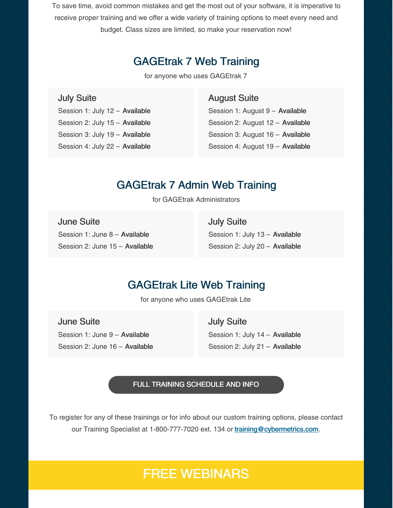To save time, avoid common mistakes and get the most out of your software, it is imperative to receive proper training and we offer a wide variety of training options to meet every need and budget. Class sizes are limited, so make your reservation now!

## GAGEtrak 7 Web Training

for anyone who uses GAGEtrak 7

#### July Suite

Session 1: July 12 – Available Session 2: July 15 – Available Session 3: July 19 – Available Session 4: July 22 – Available

#### August Suite

Session 1: August 9 – Available Session 2: August 12 – Available Session 3: August 16 – Available Session 4: August 19 – Available

### GAGEtrak 7 Admin Web Training

for GAGEtrak Administrators

June Suite Session 1: June 8 – Available Session 2: June 15 – Available July Suite Session 1: July 13 – Available Session 2: July 20 - Available

## GAGEtrak Lite Web Training

for anyone who uses GAGEtrak Lite

June Suite Session 1: June 9 – Available Session 2: June 16 – Available July Suite Session 1: July 14 - Available Session 2: July 21 – Available

FULL TRAINING [SCHEDULE](https://gagetrak.com/training-schedule/) AND INFO

To register for any of these trainings or for info about our custom training options, please contact our Training Specialist at 1-800-777-7020 ext. 134 or [training@cybermetrics.com](mailto:training@cybermetrics.com).

## FREE WEBINARS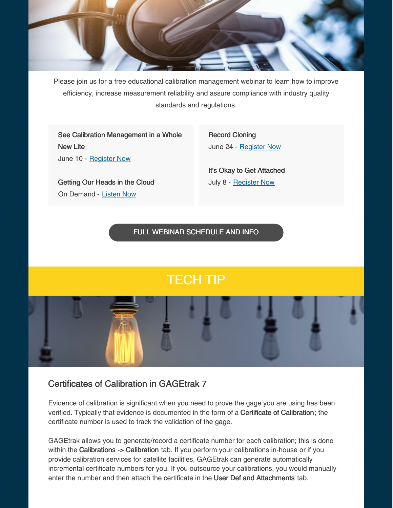

Please join us for a free educational calibration management webinar to learn how to improve efficiency, increase measurement reliability and assure compliance with industry quality standards and regulations.

See Calibration Management in a Whole New Lite June 10 - [Register](https://register.gotowebinar.com/register/9047233987136641039) Now

Getting Our Heads in the Cloud On Demand - [Listen](https://www.qualitymag.com/media/podcasts/2594-q-cast/play/170-globalization-forces-calibration-software-providers-to-get-their-heads-in-the-cloud) Now

Record Cloning June 24 - [Register](https://attendee.gotowebinar.com/register/5415795570220458767) Now

It's Okay to Get Attached July 8 - [Register](https://attendee.gotowebinar.com/register/8009095998911585295) Now

FULL WEBINAR [SCHEDULE](https://gagetrak.com/webinars/) AND INFO

# TECH TIP

Certificates of Calibration in GAGEtrak 7

Evidence of calibration is significant when you need to prove the gage you are using has been verified. Typically that evidence is documented in the form of a Certificate of Calibration; the certificate number is used to track the validation of the gage.

GAGEtrak allows you to generate/record a certificate number for each calibration; this is done within the Calibrations -> Calibration tab. If you perform your calibrations in-house or if you provide calibration services for satellite facilities, GAGEtrak can generate automatically incremental certificate numbers for you. If you outsource your calibrations, you would manually enter the number and then attach the certificate in the User Def and Attachments tab.